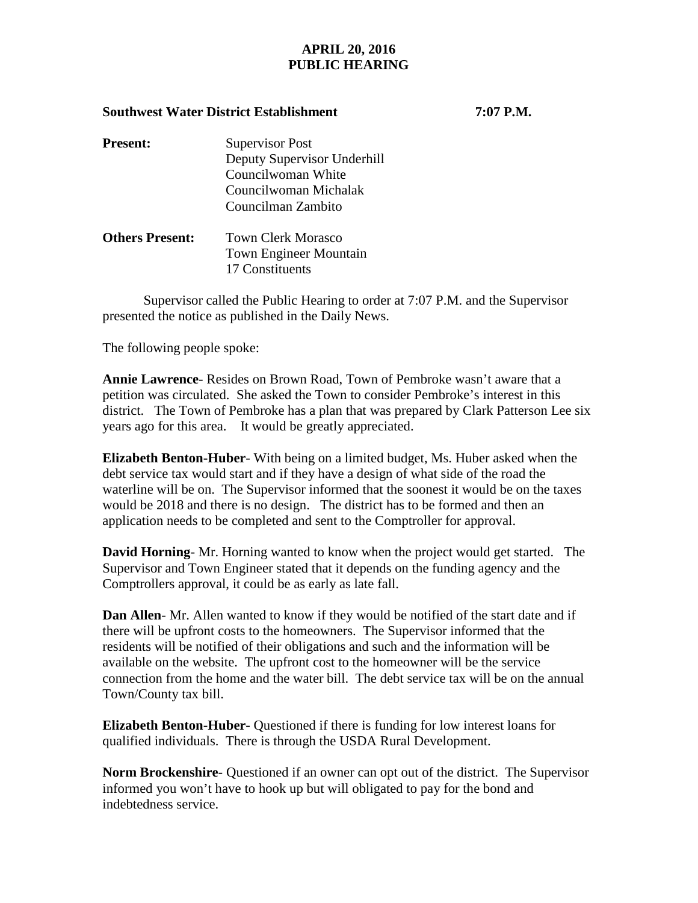## **APRIL 20, 2016 PUBLIC HEARING**

## **Southwest Water District Establishment 7:07 P.M.**

| <b>Present:</b>        | <b>Supervisor Post</b>        |
|------------------------|-------------------------------|
|                        | Deputy Supervisor Underhill   |
|                        | Councilwoman White            |
|                        | Councilwoman Michalak         |
|                        | Councilman Zambito            |
| <b>Others Present:</b> | <b>Town Clerk Morasco</b>     |
|                        | <b>Town Engineer Mountain</b> |

17 Constituents

Supervisor called the Public Hearing to order at 7:07 P.M. and the Supervisor presented the notice as published in the Daily News.

The following people spoke:

**Annie Lawrence**- Resides on Brown Road, Town of Pembroke wasn't aware that a petition was circulated. She asked the Town to consider Pembroke's interest in this district. The Town of Pembroke has a plan that was prepared by Clark Patterson Lee six years ago for this area. It would be greatly appreciated.

**Elizabeth Benton-Huber**- With being on a limited budget, Ms. Huber asked when the debt service tax would start and if they have a design of what side of the road the waterline will be on. The Supervisor informed that the soonest it would be on the taxes would be 2018 and there is no design. The district has to be formed and then an application needs to be completed and sent to the Comptroller for approval.

**David Horning**- Mr. Horning wanted to know when the project would get started. The Supervisor and Town Engineer stated that it depends on the funding agency and the Comptrollers approval, it could be as early as late fall.

**Dan Allen**- Mr. Allen wanted to know if they would be notified of the start date and if there will be upfront costs to the homeowners. The Supervisor informed that the residents will be notified of their obligations and such and the information will be available on the website. The upfront cost to the homeowner will be the service connection from the home and the water bill. The debt service tax will be on the annual Town/County tax bill.

**Elizabeth Benton-Huber-** Questioned if there is funding for low interest loans for qualified individuals. There is through the USDA Rural Development.

**Norm Brockenshire**- Questioned if an owner can opt out of the district. The Supervisor informed you won't have to hook up but will obligated to pay for the bond and indebtedness service.